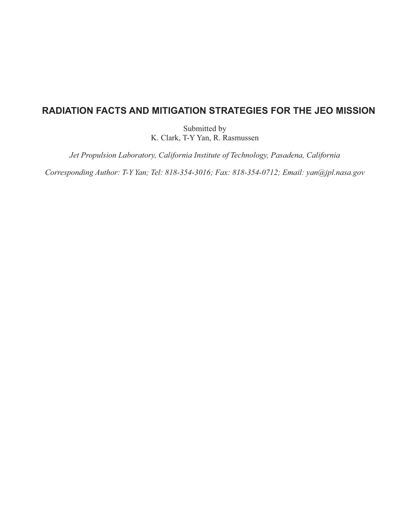# **RADIATION FACTS AND MITIGATION STRATEGIES FOR THE JEO MISSION**

Submitted by K. Clark, T-Y Yan, R. Rasmussen

*Jet Propulsion Laboratory, California Institute of Technology, Pasadena, California* 

*Corresponding Author: T-Y Yan; Tel: 818-354-3016; Fax: 818-354-0712; Email: yan@jpl.nasa.gov*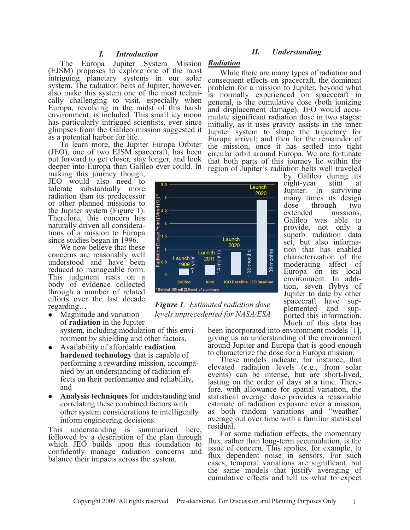### *I. Introduction*

The Europa Jupiter System Mission *Radiation* (EJSM) proposes to explore one of the most intriguing planetary systems in our solar system. The radiation belts of Jupiter, however, also make this system one of the most technically challenging to visit, especially when Europa, revolving in the midst of this harsh environment, is included. This small icy moon has particularly intrigued scientists, ever since glimpses from the Galileo mission suggested it as a potential harbor for life.

To learn more, the Jupiter Europa Orbiter (JEO), one of two EJSM spacecraft, has been put forward to get closer, stay longer, and look deeper into Europa than Galileo ever could. In

making this journey though, JEO would also need to tolerate substantially more radiation than its predecessor or other planned missions to the Jupiter system (Figure 1). Therefore, this concern has naturally driven all considerations of a mission to Europa since studies began in 1996.

We now believe that these concerns are reasonably well understood and have been reduced to manageable form. This judgment rests on a body of evidence collected through a number of related efforts over the last decade regarding…

- *levels unprecedented for NASA/ESA* Magnitude and variation  $\bullet$ of **radiation** in the Jupiter system, including modulation of this environment by shielding and other factors,
- Availability of affordable **radiation hardened technology** that is capable of performing a rewarding mission, accompanied by an understanding of radiation effects on their performance and reliability, and
- **Analysis techniques** for understanding and correlating these combined factors with other system considerations to intelligently inform engineering decisions.

This understanding is summarized here, followed by a description of the plan through which JEO builds upon this foundation to confidently manage radiation concerns and balance their impacts across the system.

### *II. Understanding*

While there are many types of radiation and consequent effects on spacecraft, the dominant problem for a mission to Jupiter, beyond what<br>is normally experienced on spacecraft in normally experienced on spacecraft in general, is the cumulative dose (both ionizing and displacement damage). JEO would accumulate significant radiation dose in two stages: initially, as it uses gravity assists in the inner Jupiter system to shape the trajectory for Europa arrival; and then for the remainder of the mission, once it has settled into tight circular orbit around Europa. We are fortunate that both parts of this journey lie within the region of Jupiter's radiation belts well traveled

> by Galileo during its<br>eight-year stint at eight-year stint at Jupiter. In surviving many times its design<br>dose through two through extended missions, Galileo was able to provide, not only a superb radiation data set, but also information that has enabled characterization of the moderating affect of Europa on its local environment. In addition, seven flybys of Jupiter to date by other spacecraft have supplemented and supported this information. Much of this data has

been incorporated into environment models [1], giving us an understanding of the environment around Jupiter and Europa that is good enough to characterize the dose for a Europa mission.

These models indicate, for instance, that elevated radiation levels (e.g., from solar events) can be intense, but are short-lived, lasting on the order of days at a time. Therefore, with allowance for spatial variation, the statistical average dose provides a reasonable estimate of radiation exposure over a mission, as both random variations and "weather" average out over time with a familiar statistical residual.

For some radiation effects, the momentary flux, rather than long-term accumulation, is the issue of concern. This applies, for example, to flux dependent noise in sensors. For such cases, temporal variations are significant, but the same models that justify averaging of cumulative effects and tell us what to expect



*Figure 1. Estimated radiation dose*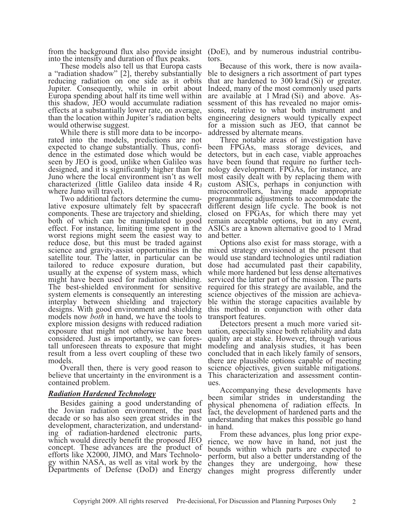from the background flux also provide insight (DoE), and by numerous industrial contribuinto the intensity and duration of flux peaks.

These models also tell us that Europa casts a "radiation shadow" [2], thereby substantially reducing radiation on one side as it orbits Jupiter. Consequently, while in orbit about Europa spending about half its time well within this shadow, JEO would accumulate radiation effects at a substantially lower rate, on average, than the location within Jupiter's radiation belts would otherwise suggest.

While there is still more data to be incorporated into the models, predictions are not expected to change substantially. Thus, confidence in the estimated dose which would be seen by JEO is good, unlike when Galileo was designed, and it is significantly higher than for Juno where the local environment isn't as well characterized (little Galileo data inside 4 R<sub>J</sub> where Juno will travel).

Two additional factors determine the cumulative exposure ultimately felt by spacecraft components. These are trajectory and shielding, both of which can be manipulated to good effect. For instance, limiting time spent in the worst regions might seem the easiest way to reduce dose, but this must be traded against science and gravity-assist opportunities in the satellite tour. The latter, in particular can be tailored to reduce exposure duration, but usually at the expense of system mass, which might have been used for radiation shielding. The best-shielded environment for sensitive system elements is consequently an interesting interplay between shielding and trajectory designs. With good environment and shielding models now *both* in hand, we have the tools to explore mission designs with reduced radiation exposure that might not otherwise have been considered. Just as importantly, we can forestall unforeseen threats to exposure that might result from a less overt coupling of these two models.

Overall then, there is very good reason to believe that uncertainty in the environment is a contained problem.

# *Radiation Hardened Technology*

Besides gaining a good understanding of the Jovian radiation environment, the past decade or so has also seen great strides in the development, characterization, and understanding of radiation-hardened electronic parts, which would directly benefit the proposed JEO concept. These advances are the product of efforts like X2000, JIMO, and Mars Technology within NASA, as well as vital work by the Departments of Defense (DoD) and Energy

tors.

Because of this work, there is now available to designers a rich assortment of part types that are hardened to 300 krad (Si) or greater. Indeed, many of the most commonly used parts are available at 1 Mrad (Si) and above. Assessment of this has revealed no major omissions, relative to what both instrument and engineering designers would typically expect for a mission such as JEO, that cannot be addressed by alternate means.

Three notable areas of investigation have been FPGAs, mass storage devices, and detectors, but in each case, viable approaches have been found that require no further technology development. FPGAs, for instance, are most easily dealt with by replacing them with custom ASICs, perhaps in conjunction with microcontrollers, having made appropriate programmatic adjustments to accommodate the different design life cycle. The book is not closed on FPGAs, for which there may yet remain acceptable options, but in any event, ASICs are a known alternative good to 1 Mrad and better.

Options also exist for mass storage, with a mixed strategy envisioned at the present that would use standard technologies until radiation dose had accumulated past their capability, while more hardened but less dense alternatives serviced the latter part of the mission. The parts required for this strategy are available, and the science objectives of the mission are achievable within the storage capacities available by this method in conjunction with other data transport features.

Detectors present a much more varied situation, especially since both reliability and data quality are at stake. However, through various modeling and analysis studies, it has been concluded that in each likely family of sensors, there are plausible options capable of meeting science objectives, given suitable mitigations. This characterization and assessment continues.

Accompanying these developments have been similar strides in understanding the physical phenomena of radiation effects. In fact, the development of hardened parts and the understanding that makes this possible go hand in hand.

From these advances, plus long prior experience, we now have in hand, not just the bounds within which parts are expected to perform, but also a better understanding of the changes they are undergoing, how these changes might progress differently under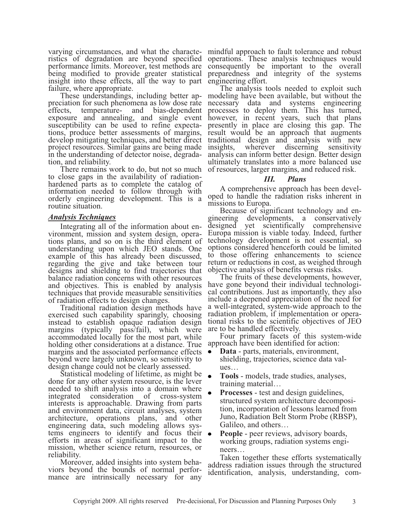ristics of degradation are beyond specified performance limits. Moreover, test methods are being modified to provide greater statistical insight into these effects, all the way to part failure, where appropriate.

These understandings, including better appreciation for such phenomena as low dose rate effects, temperature- and bias-dependent exposure and annealing, and single event susceptibility can be used to refine expectations, produce better assessments of margins, develop mitigating techniques, and better direct project resources. Similar gains are being made in the understanding of detector noise, degradation, and reliability.

There remains work to do, but not so much to close gaps in the availability of radiationhardened parts as to complete the catalog of information needed to follow through with orderly engineering development. This is a routine situation.

#### *Analysis Techniques*

Integrating all of the information about environment, mission and system design, operations plans, and so on is the third element of understanding upon which JEO stands. One example of this has already been discussed, regarding the give and take between tour designs and shielding to find trajectories that balance radiation concerns with other resources and objectives. This is enabled by analysis techniques that provide measurable sensitivities of radiation effects to design changes.

Traditional radiation design methods have exercised such capability sparingly, choosing instead to establish opaque radiation design margins (typically pass/fail), which were accommodated locally for the most part, while holding other considerations at a distance. True margins and the associated performance effects beyond were largely unknown, so sensitivity to design change could not be clearly assessed.

Statistical modeling of lifetime, as might be done for any other system resource, is the lever needed to shift analysis into a domain where integrated consideration of cross-system interests is approachable. Drawing from parts and environment data, circuit analyses, system architecture, operations plans, and other engineering data, such modeling allows systems engineers to identify and focus their efforts in areas of significant impact to the mission, whether science return, resources, or reliability.

Moreover, added insights into system behaviors beyond the bounds of normal performance are intrinsically necessary for any

varying circumstances, and what the characte-mindful approach to fault tolerance and robust operations. These analysis techniques would consequently be important to the overall preparedness and integrity of the systems engineering effort.

The analysis tools needed to exploit such modeling have been available, but without the necessary data and systems engineering data and systems engineering processes to deploy them. This has turned, however, in recent years, such that plans presently in place are closing this gap. The result would be an approach that augments traditional design and analysis with new insights, wherever discerning sensitivity analysis can inform better design. Better design ultimately translates into a more balanced use of resources, larger margins, and reduced risk.

# *III. Plans*

A comprehensive approach has been developed to handle the radiation risks inherent in missions to Europa.

Because of significant technology and engineering developments, a conservatively designed yet scientifically comprehensive Europa mission is viable today. Indeed, further technology development is not essential, so options considered henceforth could be limited to those offering enhancements to science return or reductions in cost, as weighed through objective analysis of benefits versus risks.

The fruits of these developments, however, have gone beyond their individual technological contributions. Just as importantly, they also include a deepened appreciation of the need for a well-integrated, system-wide approach to the radiation problem, if implementation or operational risks to the scientific objectives of JEO are to be handled effectively.

Four primary facets of this system-wide approach have been identified for action:

- **Data** parts, materials, environment, shielding, trajectories, science data values…
- **Tools** models, trade studies, analyses, training material…
- **Processes** test and design guidelines, structured system architecture decomposition, incorporation of lessons learned from Juno, Radiation Belt Storm Probe (RBSP), Galileo, and others…
- $\bullet$ **People** - peer reviews, advisory boards, working groups, radiation systems engineers…

Taken together these efforts systematically address radiation issues through the structured identification, analysis, understanding, com-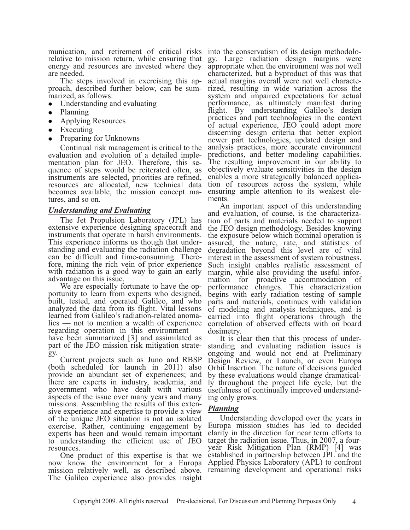munication, and retirement of critical risks into the conservatism of its design methodolorelative to mission return, while ensuring that energy and resources are invested where they are needed.

The steps involved in exercising this approach, described further below, can be summarized, as follows:

- Understanding and evaluating  $\bullet$
- Planning
- Applying Resources
- Executing
- Preparing for Unknowns

Continual risk management is critical to the evaluation and evolution of a detailed implementation plan for JEO. Therefore, this sequence of steps would be reiterated often, as instruments are selected, priorities are refined, resources are allocated, new technical data becomes available, the mission concept matures, and so on.

### *Understanding and Evaluating*

The Jet Propulsion Laboratory (JPL) has extensive experience designing spacecraft and instruments that operate in harsh environments. This experience informs us though that understanding and evaluating the radiation challenge can be difficult and time-consuming. Therefore, mining the rich vein of prior experience with radiation is a good way to gain an early advantage on this issue.

We are especially fortunate to have the opportunity to learn from experts who designed, built, tested, and operated Galileo, and who analyzed the data from its flight. Vital lessons learned from Galileo's radiation-related anomalies — not to mention a wealth of experience regarding operation in this environment — have been summarized [3] and assimilated as part of the JEO mission risk mitigation strategy.

Current projects such as Juno and RBSP (both scheduled for launch in 2011) also provide an abundant set of experiences; and there are experts in industry, academia, and government who have dealt with various aspects of the issue over many years and many missions. Assembling the results of this extensive experience and expertise to provide a view of the unique JEO situation is not an isolated exercise. Rather, continuing engagement by experts has been and would remain important to understanding the efficient use of JEO resources.

One product of this expertise is that we now know the environment for a Europa mission relatively well, as described above. remaining development and operational risks The Galileo experience also provides insight

gy. Large radiation design margins were appropriate when the environment was not well characterized, but a byproduct of this was that actual margins overall were not well characterized, resulting in wide variation across the system and impaired expectations for actual performance, as ultimately manifest during flight. By understanding Galileo's design practices and part technologies in the context of actual experience, JEO could adopt more discerning design criteria that better exploit newer part technologies, updated design and analysis practices, more accurate environment predictions, and better modeling capabilities. The resulting improvement in our ability to objectively evaluate sensitivities in the design enables a more strategically balanced application of resources across the system, while ensuring ample attention to its weakest elements.

An important aspect of this understanding and evaluation, of course, is the characterization of parts and materials needed to support the JEO design methodology. Besides knowing the exposure below which nominal operation is assured, the nature, rate, and statistics of degradation beyond this level are of vital interest in the assessment of system robustness. Such insight enables realistic assessment of margin, while also providing the useful information for proactive accommodation of performance changes. This characterization begins with early radiation testing of sample parts and materials, continues with validation of modeling and analysis techniques, and is carried into flight operations through the correlation of observed effects with on board dosimetry.

It is clear then that this process of understanding and evaluating radiation issues is ongoing and would not end at Preliminary Design Review, or Launch, or even Europa Orbit Insertion. The nature of decisions guided by these evaluations would change dramatically throughout the project life cycle, but the usefulness of continually improved understanding only grows.

#### *Planning*

Understanding developed over the years in Europa mission studies has led to decided clarity in the direction for near term efforts to target the radiation issue. Thus, in 2007, a fouryear Risk Mitigation Plan (RMP) [4] was established in partnership between JPL and the Applied Physics Laboratory (APL) to confront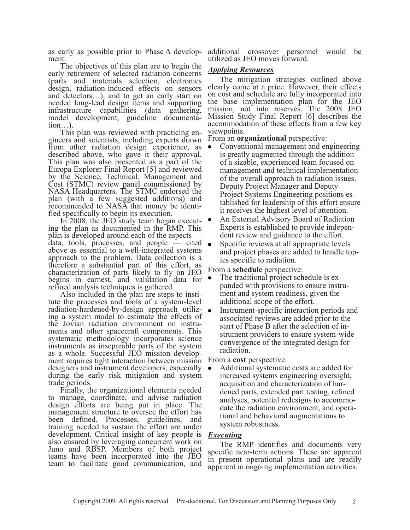as early as possible prior to Phase A develop-additional crossover personnel would be ment.

The objectives of this plan are to begin the early retirement of selected radiation concerns (parts and materials selection, electronics design, radiation-induced effects on sensors and detectors…), and to get an early start on needed long-lead design items and supporting infrastructure capabilities (data gathering, model development, guideline documentation…).

This plan was reviewed with practicing engineers and scientists, including experts drawn from other radiation design experience, as described above, who gave it their approval. This plan was also presented as a part of the Europa Explorer Final Report [5] and reviewed by the Science, Technical. Management and Cost (STMC) review panel commissioned by NASA Headquarters. The STMC endorsed the plan (with a few suggested additions) and recommended to NASA that money be identified specifically to begin its execution.

In 2008, the JEO study team began executing the plan as documented in the RMP. This plan is developed around each of the aspects data, tools, processes, and people  $\overline{-}$  cited above as essential to a well-integrated systems approach to the problem. Data collection is a therefore a substantial part of this effort, as characterization of parts likely to fly on JEO begins in earnest, and validation data for refined analysis techniques is gathered.

Also included in the plan are steps to institute the processes and tools of a system-level radiation-hardened-by-design approach utilizing a system model to estimate the effects of the Jovian radiation environment on instruments and other spacecraft components. This systematic methodology incorporates science instruments as inseparable parts of the system as a whole. Successful JEO mission development requires tight interaction between mission From a **cost** perspective: designers and instrument developers, especially during the early risk mitigation and system trade periods.

Finally, the organizational elements needed to manage, coordinate, and advise radiation design efforts are being put in place. The management structure to oversee the effort has been defined. Processes, guidelines, and training needed to sustain the effort are under development. Critical insight of key people is also ensured by leveraging concurrent work on Juno and RBSP. Members of both project teams have been incorporated into the JEO team to facilitate good communication, and

utilized as JEO moves forward.

# *Applying Resources*

The mitigation strategies outlined above clearly come at a price. However, their effects on cost and schedule are fully incorporated into the base implementation plan for the JEO mission, not into reserves. The 2008 JEO Mission Study Final Report [6] describes the accommodation of these effects from a few key viewpoints.

From an **organizational** perspective:

- Conventional management and engineering is greatly augmented through the addition of a sizable, experienced team focused on management and technical implementation of the overall approach to radiation issues. Deputy Project Manager and Deputy Project Systems Engineering positions established for leadership of this effort ensure it receives the highest level of attention.
- An External Advisory Board of Radiation Experts is established to provide independent review and guidance to the effort.
- Specific reviews at all appropriate levels and project phases are added to handle topics specific to radiation.

From a **schedule** perspective:

- The traditional project schedule is expanded with provisions to ensure instrument and system readiness, given the additional scope of the effort.
- Instrument-specific interaction periods and associated reviews are added prior to the start of Phase B after the selection of instrument providers to ensure system-wide convergence of the integrated design for radiation.

Additional systematic costs are added for increased systems engineering oversight, acquisition and characterization of hardened parts, extended part testing, refined analyses, potential redesigns to accommodate the radiation environment, and operational and behavioral augmentations to system robustness.

# *Executing*

The RMP identifies and documents very specific near-term actions. These are apparent in present operational plans and are readily apparent in ongoing implementation activities.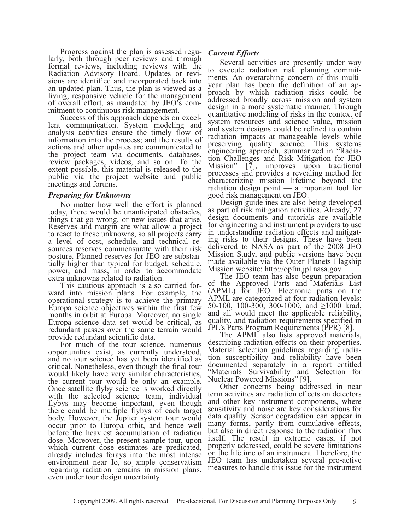Progress against the plan is assessed regularly, both through peer reviews and through formal reviews, including reviews with the Radiation Advisory Board. Updates or revisions are identified and incorporated back into an updated plan. Thus, the plan is viewed as a living, responsive vehicle for the management of overall effort, as mandated by JEO's commitment to continuous risk management.

Success of this approach depends on excellent communication. System modeling and analysis activities ensure the timely flow of information into the process; and the results of actions and other updates are communicated to the project team via documents, databases, review packages, videos, and so on. To the extent possible, this material is released to the public via the project website and public meetings and forums.

### *Preparing for Unknowns*

No matter how well the effort is planned today, there would be unanticipated obstacles, things that go wrong, or new issues that arise. Reserves and margin are what allow a project to react to these unknowns, so all projects carry a level of cost, schedule, and technical resources reserves commensurate with their risk posture. Planned reserves for JEO are substantially higher than typical for budget, schedule, power, and mass, in order to accommodate extra unknowns related to radiation.

This cautious approach is also carried forward into mission plans. For example, the operational strategy is to achieve the primary Europa science objectives within the first few months in orbit at Europa. Moreover, no single Europa science data set would be critical, as redundant passes over the same terrain would provide redundant scientific data.

For much of the tour science, numerous opportunities exist, as currently understood, and no tour science has yet been identified as critical. Nonetheless, even though the final tour would likely have very similar characteristics, the current tour would be only an example. Once satellite flyby science is worked directly with the selected science team, individual flybys may become important, even though there could be multiple flybys of each target body. However, the Jupiter system tour would occur prior to Europa orbit, and hence well before the heaviest accumulation of radiation dose. Moreover, the present sample tour, upon which current dose estimates are predicated, already includes forays into the most intense environment near Io, so ample conservatism regarding radiation remains in mission plans, even under tour design uncertainty.

# *Current Efforts*

Several activities are presently under way to execute radiation risk planning commitments. An overarching concern of this multiyear plan has been the definition of an approach by which radiation risks could be addressed broadly across mission and system design in a more systematic manner. Through quantitative modeling of risks in the context of system resources and science value, mission and system designs could be refined to contain radiation impacts at manageable levels while preserving quality science. This systems engineering approach, summarized in "Radiation Challenges and Risk Mitigation for JEO Mission" [7], improves upon traditional processes and provides a revealing method for characterizing mission lifetime beyond the radiation design point — a important tool for good risk management on JEO.

Design guidelines are also being developed as part of risk mitigation activities. Already, 27 design documents and tutorials are available for engineering and instrument providers to use in understanding radiation effects and mitigating risks to their designs. These have been delivered to NASA as part of the 2008 JEO Mission Study, and public versions have been made available via the Outer Planets Flagship Mission website: http://opfm.jpl.nasa.gov.

The JEO team has also begun preparation of the Approved Parts and Materials List (APML) for JEO. Electronic parts on the APML are categorized at four radiation levels: 50-100, 100-300, 300-1000, and  $\geq$ 1000 krad, and all would meet the applicable reliability, quality, and radiation requirements specified in JPL's Parts Program Requirements (PPR) [8].

The APML also lists approved materials, describing radiation effects on their properties. Material selection guidelines regarding radiation susceptibility and reliability have been documented separately in a report entitled "Materials Survivability and Selection for Nuclear Powered Missions" [9].

Other concerns being addressed in near term activities are radiation effects on detectors and other key instrument components, where sensitivity and noise are key considerations for data quality. Sensor degradation can appear in many forms, partly from cumulative effects, but also in direct response to the radiation flux itself. The result in extreme cases, if not properly addressed, could be severe limitations on the lifetime of an instrument. Therefore, the JEO team has undertaken several pro-active measures to handle this issue for the instrument